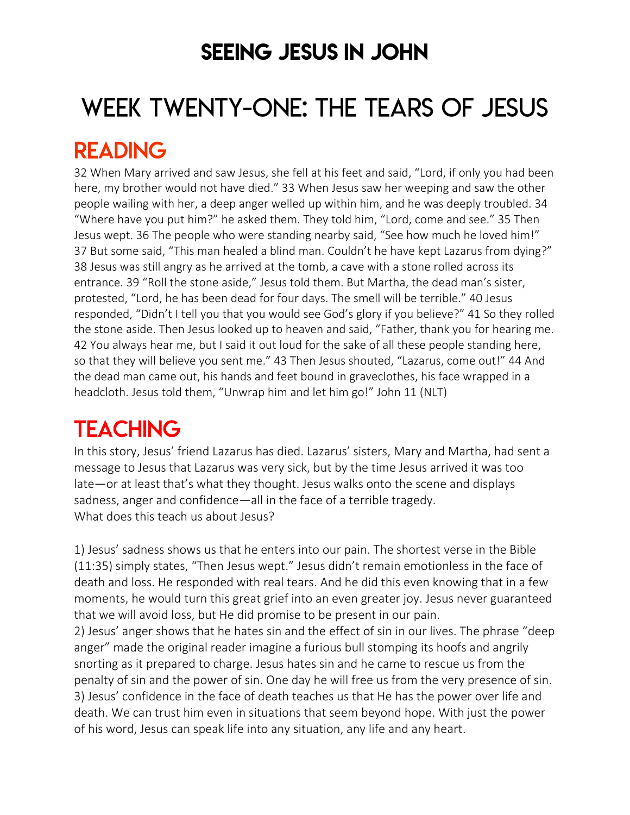## SEEING JESUS IN JOHN

# WEEK TWENTY-ONE: THE TEARS OF JESUS

## READING

32 When Mary arrived and saw Jesus, she fell at his feet and said, "Lord, if only you had been here, my brother would not have died." 33 When Jesus saw her weeping and saw the other people wailing with her, a deep anger welled up within him, and he was deeply troubled. 34 "Where have you put him?" he asked them. They told him, "Lord, come and see." 35 Then Jesus wept. 36 The people who were standing nearby said, "See how much he loved him!" 37 But some said, "This man healed a blind man. Couldn't he have kept Lazarus from dying?" 38 Jesus was still angry as he arrived at the tomb, a cave with a stone rolled across its entrance. 39 "Roll the stone aside," Jesus told them. But Martha, the dead man's sister, protested, "Lord, he has been dead for four days. The smell will be terrible." 40 Jesus responded, "Didn't I tell you that you would see God's glory if you believe?" 41 So they rolled the stone aside. Then Jesus looked up to heaven and said, "Father, thank you for hearing me. 42 You always hear me, but I said it out loud for the sake of all these people standing here, so that they will believe you sent me." 43 Then Jesus shouted, "Lazarus, come out!" 44 And the dead man came out, his hands and feet bound in graveclothes, his face wrapped in a headcloth. Jesus told them, "Unwrap him and let him go!" John 11 (NLT)

## **TEACHING**

In this story, Jesus' friend Lazarus has died. Lazarus' sisters, Mary and Martha, had sent a message to Jesus that Lazarus was very sick, but by the time Jesus arrived it was too late—or at least that's what they thought. Jesus walks onto the scene and displays sadness, anger and confidence—all in the face of a terrible tragedy. What does this teach us about Jesus?

1) Jesus' sadness shows us that he enters into our pain. The shortest verse in the Bible (11:35) simply states, "Then Jesus wept." Jesus didn't remain emotionless in the face of death and loss. He responded with real tears. And he did this even knowing that in a few moments, he would turn this great grief into an even greater joy. Jesus never guaranteed that we will avoid loss, but He did promise to be present in our pain.

2) Jesus' anger shows that he hates sin and the effect of sin in our lives. The phrase "deep anger" made the original reader imagine a furious bull stomping its hoofs and angrily snorting as it prepared to charge. Jesus hates sin and he came to rescue us from the penalty of sin and the power of sin. One day he will free us from the very presence of sin. 3) Jesus' confidence in the face of death teaches us that He has the power over life and death. We can trust him even in situations that seem beyond hope. With just the power of his word, Jesus can speak life into any situation, any life and any heart.